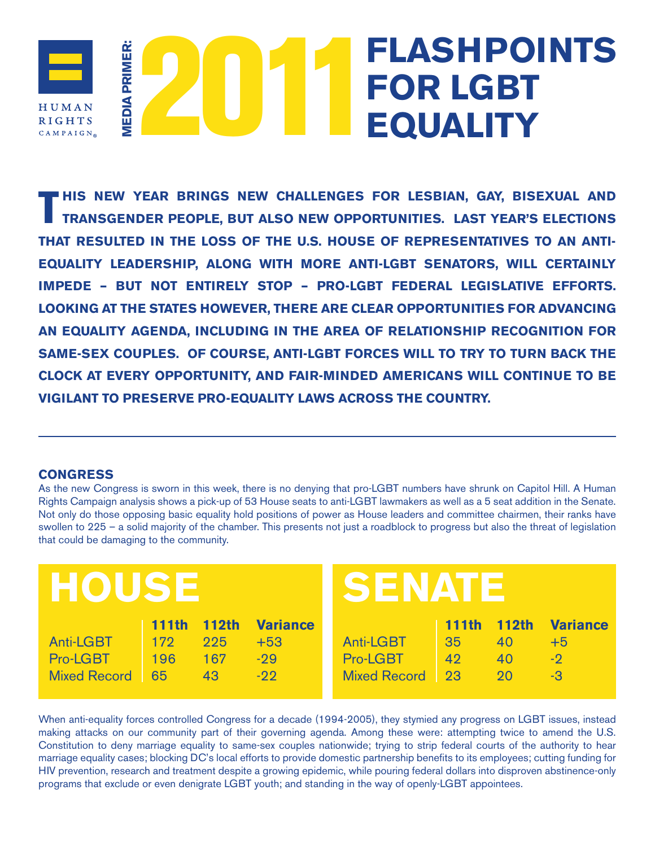# **2011 FOR LGBT**<br>EQUALITY **FLASHPOINTS**  EDIA PRIMER: **MEDIA PRIMER: FOR LGBT**  HUMAN **RIGHTS** CAMPAIGN<sub>®</sub>

**HIS NEW YEAR BRINGS NEW CHALLENGES FOR LESBIAN, GAY, BISEXUAL AND TRANSGENDER PEOPLE, BUT ALSO NEW OPPORTUNITIES. LAST YEAR'S ELECTIONS THAT RESULTED IN THE LOSS OF THE U.S. HOUSE OF REPRESENTATIVES TO AN ANTI-EQUALITY LEADERSHIP, ALONG WITH MORE ANTI-LGBT SENATORS, WILL CERTAINLY IMPEDE – BUT NOT ENTIRELY STOP – PRO-LGBT FEDERAL LEGISLATIVE EFFORTS. LOOKING AT THE STATES HOWEVER, THERE ARE CLEAR OPPORTUNITIES FOR ADVANCING AN EQUALITY AGENDA, INCLUDING IN THE AREA OF RELATIONSHIP RECOGNITION FOR SAME-SEX COUPLES. OF COURSE, ANTI-LGBT FORCES WILL TO TRY TO TURN BACK THE CLOCK AT EVERY OPPORTUNITY, AND FAIR-MINDED AMERICANS WILL CONTINUE TO BE VIGILANT TO PRESERVE PRO-EQUALITY LAWS ACROSS THE COUNTRY.**

## **CONGRESS**

As the new Congress is sworn in this week, there is no denying that pro-LGBT numbers have shrunk on Capitol Hill. A Human Rights Campaign analysis shows a pick-up of 53 House seats to anti-LGBT lawmakers as well as a 5 seat addition in the Senate. Not only do those opposing basic equality hold positions of power as House leaders and committee chairmen, their ranks have swollen to 225 – a solid majority of the chamber. This presents not just a roadblock to progress but also the threat of legislation that could be damaging to the community.

| <b>HOUSE</b> |              |           |                 | SENATE              |              |           |                 |
|--------------|--------------|-----------|-----------------|---------------------|--------------|-----------|-----------------|
|              | <b>111th</b> | $-112$ th | <b>Variance</b> |                     | <b>111th</b> | $-112$ th | <b>Variance</b> |
| Anti-LGBT    | $\vert$ 172  | 225       | $+53$           | Anti-LGBT           | -35          | 40        | $+5$            |
| Pro-LGBT     | 196          | 167       | $-29$           | Pro-LGBT            | 42           | 40        | $-9$            |
| Mixed Record | 65           | 43        | $-22$           | <b>Mixed Record</b> | 23           | 20        | $-3$            |

When anti-equality forces controlled Congress for a decade (1994-2005), they stymied any progress on LGBT issues, instead making attacks on our community part of their governing agenda. Among these were: attempting twice to amend the U.S. Constitution to deny marriage equality to same-sex couples nationwide; trying to strip federal courts of the authority to hear marriage equality cases; blocking DC's local efforts to provide domestic partnership benefits to its employees; cutting funding for HIV prevention, research and treatment despite a growing epidemic, while pouring federal dollars into disproven abstinence-only programs that exclude or even denigrate LGBT youth; and standing in the way of openly-LGBT appointees.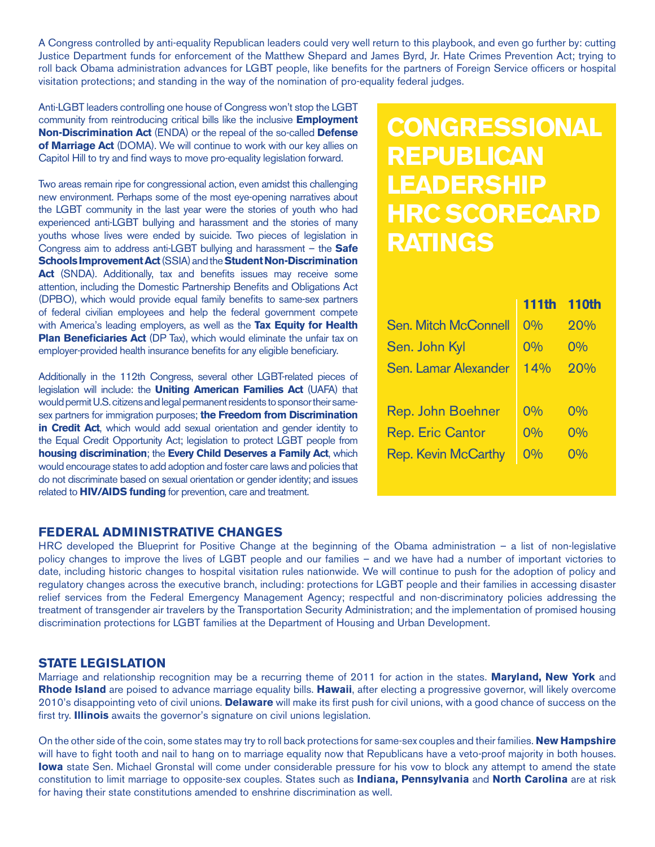A Congress controlled by anti-equality Republican leaders could very well return to this playbook, and even go further by: cutting Justice Department funds for enforcement of the Matthew Shepard and James Byrd, Jr. Hate Crimes Prevention Act; trying to roll back Obama administration advances for LGBT people, like benefits for the partners of Foreign Service officers or hospital visitation protections; and standing in the way of the nomination of pro-equality federal judges.

Anti-LGBT leaders controlling one house of Congress won't stop the LGBT community from reintroducing critical bills like the inclusive **Employment Non-Discrimination Act** (ENDA) or the repeal of the so-called **Defense of Marriage Act** (DOMA). We will continue to work with our key allies on Capitol Hill to try and find ways to move pro-equality legislation forward.

Two areas remain ripe for congressional action, even amidst this challenging new environment. Perhaps some of the most eye-opening narratives about the LGBT community in the last year were the stories of youth who had experienced anti-LGBT bullying and harassment and the stories of many youths whose lives were ended by suicide. Two pieces of legislation in Congress aim to address anti-LGBT bullying and harassment – the **Safe Schools Improvement Act** (SSIA) and the **Student Non-Discrimination**  Act (SNDA). Additionally, tax and benefits issues may receive some attention, including the Domestic Partnership Benefits and Obligations Act (DPBO), which would provide equal family benefits to same-sex partners of federal civilian employees and help the federal government compete with America's leading employers, as well as the **Tax Equity for Health Plan Beneficiaries Act** (DP Tax), which would eliminate the unfair tax on employer-provided health insurance benefits for any eligible beneficiary.

Additionally in the 112th Congress, several other LGBT-related pieces of legislation will include: the **Uniting American Families Act** (UAFA) that would permit U.S. citizens and legal permanent residents to sponsor their samesex partners for immigration purposes; **the Freedom from Discrimination in Credit Act**, which would add sexual orientation and gender identity to the Equal Credit Opportunity Act; legislation to protect LGBT people from **housing discrimination**; the **Every Child Deserves a Family Act**, which would encourage states to add adoption and foster care laws and policies that do not discriminate based on sexual orientation or gender identity; and issues related to **HIV/AIDS funding** for prevention, care and treatment.

### **FEDERAL ADMINISTRATIVE CHANGES**

HRC developed the Blueprint for Positive Change at the beginning of the Obama administration – a list of non-legislative policy changes to improve the lives of LGBT people and our families – and we have had a number of important victories to date, including historic changes to hospital visitation rules nationwide. We will continue to push for the adoption of policy and regulatory changes across the executive branch, including: protections for LGBT people and their families in accessing disaster relief services from the Federal Emergency Management Agency; respectful and non-discriminatory policies addressing the treatment of transgender air travelers by the Transportation Security Administration; and the implementation of promised housing discrimination protections for LGBT families at the Department of Housing and Urban Development.

### **STATE LEGISLATION**

Marriage and relationship recognition may be a recurring theme of 2011 for action in the states. **Maryland, New York** and **Rhode Island** are poised to advance marriage equality bills. **Hawaii**, after electing a progressive governor, will likely overcome 2010's disappointing veto of civil unions. **Delaware** will make its first push for civil unions, with a good chance of success on the first try. **Illinois** awaits the governor's signature on civil unions legislation.

On the other side of the coin, some states may try to roll back protections for same-sex couples and their families. **New Hampshire** will have to fight tooth and nail to hang on to marriage equality now that Republicans have a veto-proof majority in both houses. **Iowa** state Sen. Michael Gronstal will come under considerable pressure for his vow to block any attempt to amend the state constitution to limit marriage to opposite-sex couples. States such as **Indiana, Pennsylvania** and **North Carolina** are at risk for having their state constitutions amended to enshrine discrimination as well.

# **CONGRESSIONAL REPUBLICAN LEADERSHIP HRC SCORECARD RATINGS**

|                             | <b>111th</b> | <b>110th</b> |
|-----------------------------|--------------|--------------|
| <b>Sen. Mitch McConnell</b> | 0%           | 20%          |
| Sen. John Kyl               | 0%           | 0%           |
| Sen. Lamar Alexander        | 14%          | 20%          |
|                             |              |              |
| <b>Rep. John Boehner</b>    | 0%           | $0\%$        |
| <b>Rep. Eric Cantor</b>     | $0\%$        | $0\%$        |
| <b>Rep. Kevin McCarthy</b>  | 0%           | 0%           |
|                             |              |              |